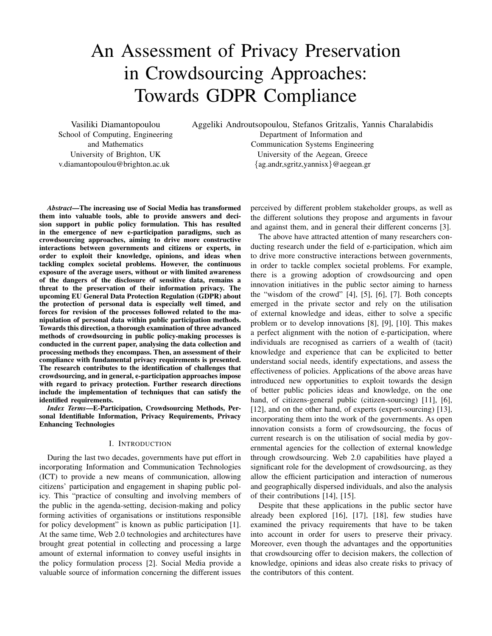# An Assessment of Privacy Preservation in Crowdsourcing Approaches: Towards GDPR Compliance

Vasiliki Diamantopoulou School of Computing, Engineering and Mathematics University of Brighton, UK v.diamantopoulou@brighton.ac.uk

Aggeliki Androutsopoulou, Stefanos Gritzalis, Yannis Charalabidis

Department of Information and Communication Systems Engineering University of the Aegean, Greece {ag.andr,sgritz,yannisx}@aegean.gr

*Abstract*—The increasing use of Social Media has transformed them into valuable tools, able to provide answers and decision support in public policy formulation. This has resulted in the emergence of new e-participation paradigms, such as crowdsourcing approaches, aiming to drive more constructive interactions between governments and citizens or experts, in order to exploit their knowledge, opinions, and ideas when tackling complex societal problems. However, the continuous exposure of the average users, without or with limited awareness of the dangers of the disclosure of sensitive data, remains a threat to the preservation of their information privacy. The upcoming EU General Data Protection Regulation (GDPR) about the protection of personal data is especially well timed, and forces for revision of the processes followed related to the manipulation of personal data within public participation methods. Towards this direction, a thorough examination of three advanced methods of crowdsourcing in public policy-making processes is conducted in the current paper, analysing the data collection and processing methods they encompass. Then, an assessment of their compliance with fundamental privacy requirements is presented. The research contributes to the identification of challenges that crowdsourcing, and in general, e-participation approaches impose with regard to privacy protection. Further research directions include the implementation of techniques that can satisfy the identified requirements.

*Index Terms*—E-Participation, Crowdsourcing Methods, Personal Identifiable Information, Privacy Requirements, Privacy Enhancing Technologies

#### I. INTRODUCTION

During the last two decades, governments have put effort in incorporating Information and Communication Technologies (ICT) to provide a new means of communication, allowing citizens' participation and engagement in shaping public policy. This "practice of consulting and involving members of the public in the agenda-setting, decision-making and policy forming activities of organisations or institutions responsible for policy development" is known as public participation [1]. At the same time, Web 2.0 technologies and architectures have brought great potential in collecting and processing a large amount of external information to convey useful insights in the policy formulation process [2]. Social Media provide a valuable source of information concerning the different issues perceived by different problem stakeholder groups, as well as the different solutions they propose and arguments in favour and against them, and in general their different concerns [3].

The above have attracted attention of many researchers conducting research under the field of e-participation, which aim to drive more constructive interactions between governments, in order to tackle complex societal problems. For example, there is a growing adoption of crowdsourcing and open innovation initiatives in the public sector aiming to harness the "wisdom of the crowd" [4], [5], [6], [7]. Both concepts emerged in the private sector and rely on the utilisation of external knowledge and ideas, either to solve a specific problem or to develop innovations [8], [9], [10]. This makes a perfect alignment with the notion of e-participation, where individuals are recognised as carriers of a wealth of (tacit) knowledge and experience that can be explicited to better understand social needs, identify expectations, and assess the effectiveness of policies. Applications of the above areas have introduced new opportunities to exploit towards the design of better public policies ideas and knowledge, on the one hand, of citizens-general public (citizen-sourcing) [11], [6], [12], and on the other hand, of experts (expert-sourcing) [13], incorporating them into the work of the governments. As open innovation consists a form of crowdsourcing, the focus of current research is on the utilisation of social media by governmental agencies for the collection of external knowledge through crowdsourcing. Web 2.0 capabilities have played a significant role for the development of crowdsourcing, as they allow the efficient participation and interaction of numerous and geographically dispersed individuals, and also the analysis of their contributions [14], [15].

Despite that these applications in the public sector have already been explored [16], [17], [18], few studies have examined the privacy requirements that have to be taken into account in order for users to preserve their privacy. Moreover, even though the advantages and the opportunities that crowdsourcing offer to decision makers, the collection of knowledge, opinions and ideas also create risks to privacy of the contributors of this content.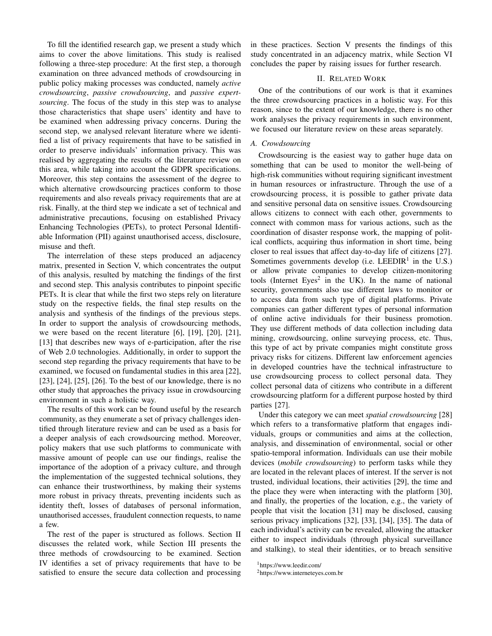To fill the identified research gap, we present a study which aims to cover the above limitations. This study is realised following a three-step procedure: At the first step, a thorough examination on three advanced methods of crowdsourcing in public policy making processes was conducted, namely *active crowdsourcing*, *passive crowdsourcing*, and *passive expertsourcing*. The focus of the study in this step was to analyse those characteristics that shape users' identity and have to be examined when addressing privacy concerns. During the second step, we analysed relevant literature where we identified a list of privacy requirements that have to be satisfied in order to preserve individuals' information privacy. This was realised by aggregating the results of the literature review on this area, while taking into account the GDPR specifications. Moreover, this step contains the assessment of the degree to which alternative crowdsourcing practices conform to those requirements and also reveals privacy requirements that are at risk. Finally, at the third step we indicate a set of technical and administrative precautions, focusing on established Privacy Enhancing Technologies (PETs), to protect Personal Identifiable Information (PII) against unauthorised access, disclosure, misuse and theft.

The interrelation of these steps produced an adjacency matrix, presented in Section V, which concentrates the output of this analysis, resulted by matching the findings of the first and second step. This analysis contributes to pinpoint specific PETs. It is clear that while the first two steps rely on literature study on the respective fields, the final step results on the analysis and synthesis of the findings of the previous steps. In order to support the analysis of crowdsourcing methods, we were based on the recent literature [6], [19], [20], [21], [13] that describes new ways of e-participation, after the rise of Web 2.0 technologies. Additionally, in order to support the second step regarding the privacy requirements that have to be examined, we focused on fundamental studies in this area [22], [23], [24], [25], [26]. To the best of our knowledge, there is no other study that approaches the privacy issue in crowdsourcing environment in such a holistic way.

The results of this work can be found useful by the research community, as they enumerate a set of privacy challenges identified through literature review and can be used as a basis for a deeper analysis of each crowdsourcing method. Moreover, policy makers that use such platforms to communicate with massive amount of people can use our findings, realise the importance of the adoption of a privacy culture, and through the implementation of the suggested technical solutions, they can enhance their trustworthiness, by making their systems more robust in privacy threats, preventing incidents such as identity theft, losses of databases of personal information, unauthorised accesses, fraudulent connection requests, to name a few.

The rest of the paper is structured as follows. Section II discusses the related work, while Section III presents the three methods of crowdsourcing to be examined. Section IV identifies a set of privacy requirements that have to be satisfied to ensure the secure data collection and processing in these practices. Section V presents the findings of this study concentrated in an adjacency matrix, while Section VI concludes the paper by raising issues for further research.

#### II. RELATED WORK

One of the contributions of our work is that it examines the three crowdsourcing practices in a holistic way. For this reason, since to the extent of our knowledge, there is no other work analyses the privacy requirements in such environment, we focused our literature review on these areas separately.

## *A. Crowdsourcing*

Crowdsourcing is the easiest way to gather huge data on something that can be used to monitor the well-being of high-risk communities without requiring significant investment in human resources or infrastructure. Through the use of a crowdsourcing process, it is possible to gather private data and sensitive personal data on sensitive issues. Crowdsourcing allows citizens to connect with each other, governments to connect with common mass for various actions, such as the coordination of disaster response work, the mapping of political conflicts, acquiring thus information in short time, being closer to real issues that affect day-to-day life of citizens [27]. Sometimes governments develop (i.e. LEEDIR<sup>1</sup> in the U.S.) or allow private companies to develop citizen-monitoring tools (Internet Eyes<sup>2</sup> in the UK). In the name of national security, governments also use different laws to monitor or to access data from such type of digital platforms. Private companies can gather different types of personal information of online active individuals for their business promotion. They use different methods of data collection including data mining, crowdsourcing, online surveying process, etc. Thus, this type of act by private companies might constitute gross privacy risks for citizens. Different law enforcement agencies in developed countries have the technical infrastructure to use crowdsourcing process to collect personal data. They collect personal data of citizens who contribute in a different crowdsourcing platform for a different purpose hosted by third parties [27].

Under this category we can meet *spatial crowdsourcing* [28] which refers to a transformative platform that engages individuals, groups or communities and aims at the collection, analysis, and dissemination of environmental, social or other spatio-temporal information. Individuals can use their mobile devices (*mobile crowdsourcing*) to perform tasks while they are located in the relevant places of interest. If the server is not trusted, individual locations, their activities [29], the time and the place they were when interacting with the platform [30], and finally, the properties of the location, e.g., the variety of people that visit the location [31] may be disclosed, causing serious privacy implications [32], [33], [34], [35]. The data of each individual's activity can be revealed, allowing the attacker either to inspect individuals (through physical surveillance and stalking), to steal their identities, or to breach sensitive

<sup>1</sup>https://www.leedir.com/

<sup>2</sup>https://www.interneteyes.com.br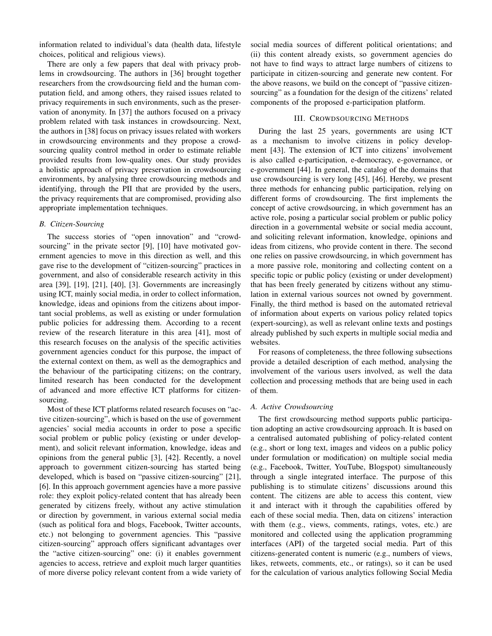information related to individual's data (health data, lifestyle choices, political and religious views).

There are only a few papers that deal with privacy problems in crowdsourcing. The authors in [36] brought together researchers from the crowdsourcing field and the human computation field, and among others, they raised issues related to privacy requirements in such environments, such as the preservation of anonymity. In [37] the authors focused on a privacy problem related with task instances in crowdsourcing. Next, the authors in [38] focus on privacy issues related with workers in crowdsourcing environments and they propose a crowdsourcing quality control method in order to estimate reliable provided results from low-quality ones. Our study provides a holistic approach of privacy preservation in crowdsourcing environments, by analysing three crowdsourcing methods and identifying, through the PII that are provided by the users, the privacy requirements that are compromised, providing also appropriate implementation techniques.

## *B. Citizen-Sourcing*

The success stories of "open innovation" and "crowdsourcing" in the private sector [9], [10] have motivated government agencies to move in this direction as well, and this gave rise to the development of "citizen-sourcing" practices in government, and also of considerable research activity in this area [39], [19], [21], [40], [3]. Governments are increasingly using ICT, mainly social media, in order to collect information, knowledge, ideas and opinions from the citizens about important social problems, as well as existing or under formulation public policies for addressing them. According to a recent review of the research literature in this area [41], most of this research focuses on the analysis of the specific activities government agencies conduct for this purpose, the impact of the external context on them, as well as the demographics and the behaviour of the participating citizens; on the contrary, limited research has been conducted for the development of advanced and more effective ICT platforms for citizensourcing.

Most of these ICT platforms related research focuses on "active citizen-sourcing", which is based on the use of government agencies' social media accounts in order to pose a specific social problem or public policy (existing or under development), and solicit relevant information, knowledge, ideas and opinions from the general public [3], [42]. Recently, a novel approach to government citizen-sourcing has started being developed, which is based on "passive citizen-sourcing" [21], [6]. In this approach government agencies have a more passive role: they exploit policy-related content that has already been generated by citizens freely, without any active stimulation or direction by government, in various external social media (such as political fora and blogs, Facebook, Twitter accounts, etc.) not belonging to government agencies. This "passive citizen-sourcing" approach offers significant advantages over the "active citizen-sourcing" one: (i) it enables government agencies to access, retrieve and exploit much larger quantities of more diverse policy relevant content from a wide variety of social media sources of different political orientations; and (ii) this content already exists, so government agencies do not have to find ways to attract large numbers of citizens to participate in citizen-sourcing and generate new content. For the above reasons, we build on the concept of "passive citizensourcing" as a foundation for the design of the citizens' related components of the proposed e-participation platform.

#### III. CROWDSOURCING METHODS

During the last 25 years, governments are using ICT as a mechanism to involve citizens in policy development [43]. The extension of ICT into citizens' involvement is also called e-participation, e-democracy, e-governance, or e-government [44]. In general, the catalog of the domains that use crowdsourcing is very long [45], [46]. Hereby, we present three methods for enhancing public participation, relying on different forms of crowdsourcing. The first implements the concept of active crowdsourcing, in which government has an active role, posing a particular social problem or public policy direction in a governmental website or social media account, and soliciting relevant information, knowledge, opinions and ideas from citizens, who provide content in there. The second one relies on passive crowdsourcing, in which government has a more passive role, monitoring and collecting content on a specific topic or public policy (existing or under development) that has been freely generated by citizens without any stimulation in external various sources not owned by government. Finally, the third method is based on the automated retrieval of information about experts on various policy related topics (expert-sourcing), as well as relevant online texts and postings already published by such experts in multiple social media and websites.

For reasons of completeness, the three following subsections provide a detailed description of each method, analysing the involvement of the various users involved, as well the data collection and processing methods that are being used in each of them.

#### *A. Active Crowdsourcing*

The first crowdsourcing method supports public participation adopting an active crowdsourcing approach. It is based on a centralised automated publishing of policy-related content (e.g., short or long text, images and videos on a public policy under formulation or modification) on multiple social media (e.g., Facebook, Twitter, YouTube, Blogspot) simultaneously through a single integrated interface. The purpose of this publishing is to stimulate citizens' discussions around this content. The citizens are able to access this content, view it and interact with it through the capabilities offered by each of these social media. Then, data on citizens' interaction with them (e.g., views, comments, ratings, votes, etc.) are monitored and collected using the application programming interfaces (API) of the targeted social media. Part of this citizens-generated content is numeric (e.g., numbers of views, likes, retweets, comments, etc., or ratings), so it can be used for the calculation of various analytics following Social Media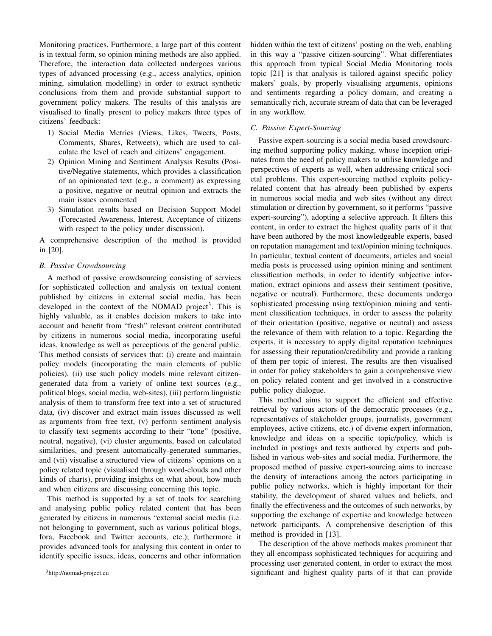Monitoring practices. Furthermore, a large part of this content is in textual form, so opinion mining methods are also applied. Therefore, the interaction data collected undergoes various types of advanced processing (e.g., access analytics, opinion mining, simulation modelling) in order to extract synthetic conclusions from them and provide substantial support to government policy makers. The results of this analysis are visualised to finally present to policy makers three types of citizens' feedback:

- 1) Social Media Metrics (Views, Likes, Tweets, Posts, Comments, Shares, Retweets), which are used to calculate the level of reach and citizens' engagement.
- 2) Opinion Mining and Sentiment Analysis Results (Positive/Negative statements, which provides a classification of an opinionated text (e.g., a comment) as expressing a positive, negative or neutral opinion and extracts the main issues commented
- 3) Simulation results based on Decision Support Model (Forecasted Awareness, Interest, Acceptance of citizens with respect to the policy under discussion).

A comprehensive description of the method is provided in [20].

## *B. Passive Crowdsourcing*

A method of passive crowdsourcing consisting of services for sophisticated collection and analysis on textual content published by citizens in external social media, has been developed in the context of the NOMAD project<sup>3</sup>. This is highly valuable, as it enables decision makers to take into account and benefit from "fresh" relevant content contributed by citizens in numerous social media, incorporating useful ideas, knowledge as well as perceptions of the general public. This method consists of services that: (i) create and maintain policy models (incorporating the main elements of public policies), (ii) use such policy models mine relevant citizengenerated data from a variety of online text sources (e.g., political blogs, social media, web-sites), (iii) perform linguistic analysis of them to transform free text into a set of structured data, (iv) discover and extract main issues discussed as well as arguments from free text, (v) perform sentiment analysis to classify text segments according to their "tone" (positive, neutral, negative), (vi) cluster arguments, based on calculated similarities, and present automatically-generated summaries, and (vii) visualise a structured view of citizens' opinions on a policy related topic (visualised through word-clouds and other kinds of charts), providing insights on what about, how much and when citizens are discussing concerning this topic.

This method is supported by a set of tools for searching and analysing public policy related content that has been generated by citizens in numerous "external social media (i.e. not belonging to government, such as various political blogs, fora, Facebook and Twitter accounts, etc.); furthermore it provides advanced tools for analysing this content in order to identify specific issues, ideas, concerns and other information

hidden within the text of citizens' posting on the web, enabling in this way a "passive citizen-sourcing". What differentiates this approach from typical Social Media Monitoring tools topic [21] is that analysis is tailored against specific policy makers' goals, by properly visualising arguments, opinions and sentiments regarding a policy domain, and creating a semantically rich, accurate stream of data that can be leveraged in any workflow.

## *C. Passive Expert-Sourcing*

Passive expert-sourcing is a social media based crowdsourcing method supporting policy making, whose inception originates from the need of policy makers to utilise knowledge and perspectives of experts as well, when addressing critical societal problems. This expert-sourcing method exploits policyrelated content that has already been published by experts in numerous social media and web sites (without any direct stimulation or direction by government, so it performs "passive expert-sourcing"), adopting a selective approach. It filters this content, in order to extract the highest quality parts of it that have been authored by the most knowledgeable experts, based on reputation management and text/opinion mining techniques. In particular, textual content of documents, articles and social media posts is processed using opinion mining and sentiment classification methods, in order to identify subjective information, extract opinions and assess their sentiment (positive, negative or neutral). Furthermore, these documents undergo sophisticated processing using text/opinion mining and sentiment classification techniques, in order to assess the polarity of their orientation (positive, negative or neutral) and assess the relevance of them with relation to a topic. Regarding the experts, it is necessary to apply digital reputation techniques for assessing their reputation/credibility and provide a ranking of them per topic of interest. The results are then visualised in order for policy stakeholders to gain a comprehensive view on policy related content and get involved in a constructive public policy dialogue.

This method aims to support the efficient and effective retrieval by various actors of the democratic processes (e.g., representatives of stakeholder groups, journalists, government employees, active citizens, etc.) of diverse expert information, knowledge and ideas on a specific topic/policy, which is included in postings and texts authored by experts and published in various web-sites and social media. Furthermore, the proposed method of passive expert-sourcing aims to increase the density of interactions among the actors participating in public policy networks, which is highly important for their stability, the development of shared values and beliefs, and finally the effectiveness and the outcomes of such networks, by supporting the exchange of expertise and knowledge between network participants. A comprehensive description of this method is provided in [13].

The description of the above methods makes prominent that they all encompass sophisticated techniques for acquiring and processing user generated content, in order to extract the most significant and highest quality parts of it that can provide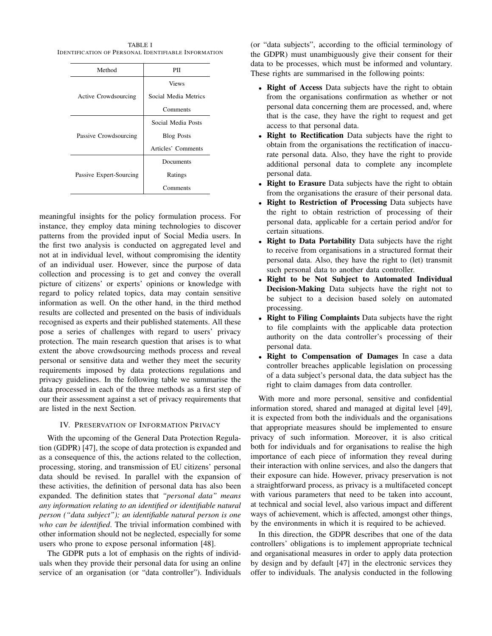TABLE I IDENTIFICATION OF PERSONAL IDENTIFIABLE INFORMATION

| Method                  | PH                   |  |
|-------------------------|----------------------|--|
|                         | <b>Views</b>         |  |
| Active Crowdsourcing    | Social Media Metrics |  |
|                         | Comments             |  |
| Passive Crowdsourcing   | Social Media Posts   |  |
|                         | <b>Blog Posts</b>    |  |
|                         | Articles' Comments   |  |
| Passive Expert-Sourcing | Documents            |  |
|                         | Ratings              |  |
|                         | Comments             |  |

meaningful insights for the policy formulation process. For instance, they employ data mining technologies to discover patterns from the provided input of Social Media users. In the first two analysis is conducted on aggregated level and not at in individual level, without compromising the identity of an individual user. However, since the purpose of data collection and processing is to get and convey the overall picture of citizens' or experts' opinions or knowledge with regard to policy related topics, data may contain sensitive information as well. On the other hand, in the third method results are collected and presented on the basis of individuals recognised as experts and their published statements. All these pose a series of challenges with regard to users' privacy protection. The main research question that arises is to what extent the above crowdsourcing methods process and reveal personal or sensitive data and wether they meet the security requirements imposed by data protections regulations and privacy guidelines. In the following table we summarise the data processed in each of the three methods as a first step of our their assessment against a set of privacy requirements that are listed in the next Section.

## IV. PRESERVATION OF INFORMATION PRIVACY

With the upcoming of the General Data Protection Regulation (GDPR) [47], the scope of data protection is expanded and as a consequence of this, the actions related to the collection, processing, storing, and transmission of EU citizens' personal data should be revised. In parallel with the expansion of these activities, the definition of personal data has also been expanded. The definition states that *"personal data" means any information relating to an identified or identifiable natural person ("data subject"); an identifiable natural person is one who can be identified*. The trivial information combined with other information should not be neglected, especially for some users who prone to expose personal information [48].

The GDPR puts a lot of emphasis on the rights of individuals when they provide their personal data for using an online service of an organisation (or "data controller"). Individuals (or "data subjects", according to the official terminology of the GDPR) must unambiguously give their consent for their data to be processes, which must be informed and voluntary. These rights are summarised in the following points:

- Right of Access Data subjects have the right to obtain from the organisations confirmation as whether or not personal data concerning them are processed, and, where that is the case, they have the right to request and get access to that personal data.
- Right to Rectification Data subjects have the right to obtain from the organisations the rectification of inaccurate personal data. Also, they have the right to provide additional personal data to complete any incomplete personal data.
- Right to Erasure Data subjects have the right to obtain from the organisations the erasure of their personal data.
- **Right to Restriction of Processing Data subjects have** the right to obtain restriction of processing of their personal data, applicable for a certain period and/or for certain situations.
- Right to Data Portability Data subjects have the right to receive from organisations in a structured format their personal data. Also, they have the right to (let) transmit such personal data to another data controller.
- Right to be Not Subject to Automated Individual Decision-Making Data subjects have the right not to be subject to a decision based solely on automated processing.
- **Right to Filing Complaints** Data subjects have the right to file complaints with the applicable data protection authority on the data controller's processing of their personal data.
- Right to Compensation of Damages In case a data controller breaches applicable legislation on processing of a data subject's personal data, the data subject has the right to claim damages from data controller.

With more and more personal, sensitive and confidential information stored, shared and managed at digital level [49], it is expected from both the individuals and the organisations that appropriate measures should be implemented to ensure privacy of such information. Moreover, it is also critical both for individuals and for organisations to realise the high importance of each piece of information they reveal during their interaction with online services, and also the dangers that their exposure can hide. However, privacy preservation is not a straightforward process, as privacy is a multifaceted concept with various parameters that need to be taken into account, at technical and social level, also various impact and different ways of achievement, which is affected, amongst other things, by the environments in which it is required to be achieved.

In this direction, the GDPR describes that one of the data controllers' obligations is to implement appropriate technical and organisational measures in order to apply data protection by design and by default [47] in the electronic services they offer to individuals. The analysis conducted in the following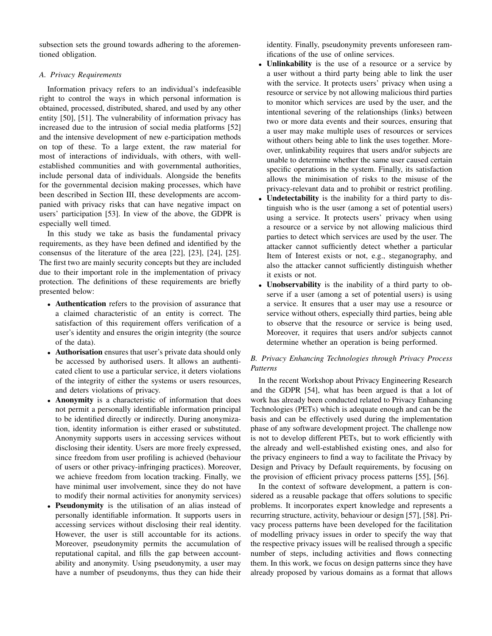subsection sets the ground towards adhering to the aforementioned obligation.

## *A. Privacy Requirements*

Information privacy refers to an individual's indefeasible right to control the ways in which personal information is obtained, processed, distributed, shared, and used by any other entity [50], [51]. The vulnerability of information privacy has increased due to the intrusion of social media platforms [52] and the intensive development of new e-participation methods on top of these. To a large extent, the raw material for most of interactions of individuals, with others, with wellestablished communities and with governmental authorities, include personal data of individuals. Alongside the benefits for the governmental decision making processes, which have been described in Section III, these developments are accompanied with privacy risks that can have negative impact on users' participation [53]. In view of the above, the GDPR is especially well timed.

In this study we take as basis the fundamental privacy requirements, as they have been defined and identified by the consensus of the literature of the area [22], [23], [24], [25]. The first two are mainly security concepts but they are included due to their important role in the implementation of privacy protection. The definitions of these requirements are briefly presented below:

- Authentication refers to the provision of assurance that a claimed characteristic of an entity is correct. The satisfaction of this requirement offers verification of a user's identity and ensures the origin integrity (the source of the data).
- Authorisation ensures that user's private data should only be accessed by authorised users. It allows an authenticated client to use a particular service, it deters violations of the integrity of either the systems or users resources, and deters violations of privacy.
- Anonymity is a characteristic of information that does not permit a personally identifiable information principal to be identified directly or indirectly. During anonymization, identity information is either erased or substituted. Anonymity supports users in accessing services without disclosing their identity. Users are more freely expressed, since freedom from user profiling is achieved (behaviour of users or other privacy-infringing practices). Moreover, we achieve freedom from location tracking. Finally, we have minimal user involvement, since they do not have to modify their normal activities for anonymity services)
- Pseudonymity is the utilisation of an alias instead of personally identifiable information. It supports users in accessing services without disclosing their real identity. However, the user is still accountable for its actions. Moreover, pseudonymity permits the accumulation of reputational capital, and fills the gap between accountability and anonymity. Using pseudonymity, a user may have a number of pseudonyms, thus they can hide their

identity. Finally, pseudonymity prevents unforeseen ramifications of the use of online services.

- Unlinkability is the use of a resource or a service by a user without a third party being able to link the user with the service. It protects users' privacy when using a resource or service by not allowing malicious third parties to monitor which services are used by the user, and the intentional severing of the relationships (links) between two or more data events and their sources, ensuring that a user may make multiple uses of resources or services without others being able to link the uses together. Moreover, unlinkability requires that users and/or subjects are unable to determine whether the same user caused certain specific operations in the system. Finally, its satisfaction allows the minimisation of risks to the misuse of the privacy-relevant data and to prohibit or restrict profiling.
- Undetectability is the inability for a third party to distinguish who is the user (among a set of potential users) using a service. It protects users' privacy when using a resource or a service by not allowing malicious third parties to detect which services are used by the user. The attacker cannot sufficiently detect whether a particular Item of Interest exists or not, e.g., steganography, and also the attacker cannot sufficiently distinguish whether it exists or not.
- Unobservability is the inability of a third party to observe if a user (among a set of potential users) is using a service. It ensures that a user may use a resource or service without others, especially third parties, being able to observe that the resource or service is being used, Moreover, it requires that users and/or subjects cannot determine whether an operation is being performed.

## *B. Privacy Enhancing Technologies through Privacy Process Patterns*

In the recent Workshop about Privacy Engineering Research and the GDPR [54], what has been argued is that a lot of work has already been conducted related to Privacy Enhancing Technologies (PETs) which is adequate enough and can be the basis and can be effectively used during the implementation phase of any software development project. The challenge now is not to develop different PETs, but to work efficiently with the already and well-established existing ones, and also for the privacy engineers to find a way to facilitate the Privacy by Design and Privacy by Default requirements, by focusing on the provision of efficient privacy process patterns [55], [56].

In the context of software development, a pattern is considered as a reusable package that offers solutions to specific problems. It incorporates expert knowledge and represents a recurring structure, activity, behaviour or design [57], [58]. Privacy process patterns have been developed for the facilitation of modelling privacy issues in order to specify the way that the respective privacy issues will be realised through a specific number of steps, including activities and flows connecting them. In this work, we focus on design patterns since they have already proposed by various domains as a format that allows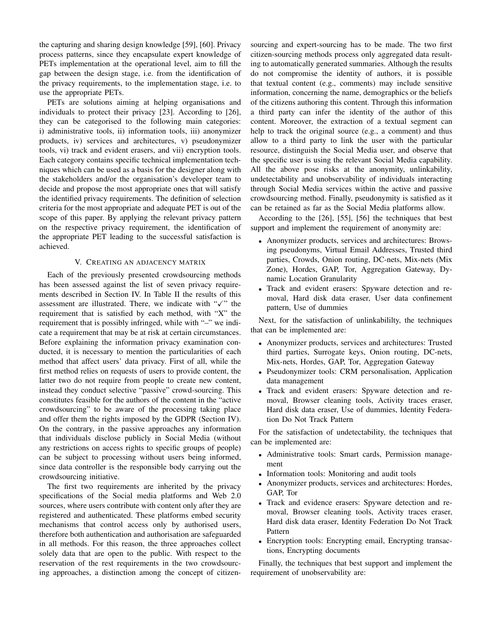the capturing and sharing design knowledge [59], [60]. Privacy process patterns, since they encapsulate expert knowledge of PETs implementation at the operational level, aim to fill the gap between the design stage, i.e. from the identification of the privacy requirements, to the implementation stage, i.e. to use the appropriate PETs.

PETs are solutions aiming at helping organisations and individuals to protect their privacy [23]. According to [26], they can be categorised to the following main categories: i) administrative tools, ii) information tools, iii) anonymizer products, iv) services and architectures, v) pseudonymizer tools, vi) track and evident erasers, and vii) encryption tools. Each category contains specific technical implementation techniques which can be used as a basis for the designer along with the stakeholders and/or the organisation's developer team to decide and propose the most appropriate ones that will satisfy the identified privacy requirements. The definition of selection criteria for the most appropriate and adequate PET is out of the scope of this paper. By applying the relevant privacy pattern on the respective privacy requirement, the identification of the appropriate PET leading to the successful satisfaction is achieved.

#### V. CREATING AN ADJACENCY MATRIX

Each of the previously presented crowdsourcing methods has been assessed against the list of seven privacy requirements described in Section IV. In Table II the results of this assessment are illustrated. There, we indicate with " $\checkmark$ " the requirement that is satisfied by each method, with "X" the requirement that is possibly infringed, while with "–" we indicate a requirement that may be at risk at certain circumstances. Before explaining the information privacy examination conducted, it is necessary to mention the particularities of each method that affect users' data privacy. First of all, while the first method relies on requests of users to provide content, the latter two do not require from people to create new content, instead they conduct selective "passive" crowd-sourcing. This constitutes feasible for the authors of the content in the "active crowdsourcing" to be aware of the processing taking place and offer them the rights imposed by the GDPR (Section IV). On the contrary, in the passive approaches any information that individuals disclose publicly in Social Media (without any restrictions on access rights to specific groups of people) can be subject to processing without users being informed, since data controller is the responsible body carrying out the crowdsourcing initiative.

The first two requirements are inherited by the privacy specifications of the Social media platforms and Web 2.0 sources, where users contribute with content only after they are registered and authenticated. These platforms embed security mechanisms that control access only by authorised users, therefore both authentication and authorisation are safeguarded in all methods. For this reason, the three approaches collect solely data that are open to the public. With respect to the reservation of the rest requirements in the two crowdsourcing approaches, a distinction among the concept of citizensourcing and expert-sourcing has to be made. The two first citizen-sourcing methods process only aggregated data resulting to automatically generated summaries. Although the results do not compromise the identity of authors, it is possible that textual content (e.g., comments) may include sensitive information, concerning the name, demographics or the beliefs of the citizens authoring this content. Through this information a third party can infer the identity of the author of this content. Moreover, the extraction of a textual segment can help to track the original source (e.g., a comment) and thus allow to a third party to link the user with the particular resource, distinguish the Social Media user, and observe that the specific user is using the relevant Social Media capability. All the above pose risks at the anonymity, unlinkability, undetectability and unobservability of individuals interacting through Social Media services within the active and passive crowdsourcing method. Finally, pseudonymity is satisfied as it can be retained as far as the Social Media platforms allow.

According to the [26], [55], [56] the techniques that best support and implement the requirement of anonymity are:

- Anonymizer products, services and architectures: Browsing pseudonyms, Virtual Email Addresses, Trusted third parties, Crowds, Onion routing, DC-nets, Mix-nets (Mix Zone), Hordes, GAP, Tor, Aggregation Gateway, Dynamic Location Granularity
- Track and evident erasers: Spyware detection and removal, Hard disk data eraser, User data confinement pattern, Use of dummies

Next, for the satisfaction of unlinkabililty, the techniques that can be implemented are:

- Anonymizer products, services and architectures: Trusted third parties, Surrogate keys, Onion routing, DC-nets, Mix-nets, Hordes, GAP, Tor, Aggregation Gateway
- Pseudonymizer tools: CRM personalisation, Application data management
- Track and evident erasers: Spyware detection and removal, Browser cleaning tools, Activity traces eraser, Hard disk data eraser, Use of dummies, Identity Federation Do Not Track Pattern

For the satisfaction of undetectability, the techniques that can be implemented are:

- Administrative tools: Smart cards, Permission management
- Information tools: Monitoring and audit tools
- Anonymizer products, services and architectures: Hordes, GAP, Tor
- Track and evidence erasers: Spyware detection and removal, Browser cleaning tools, Activity traces eraser, Hard disk data eraser, Identity Federation Do Not Track Pattern
- Encryption tools: Encrypting email, Encrypting transactions, Encrypting documents

Finally, the techniques that best support and implement the requirement of unobservability are: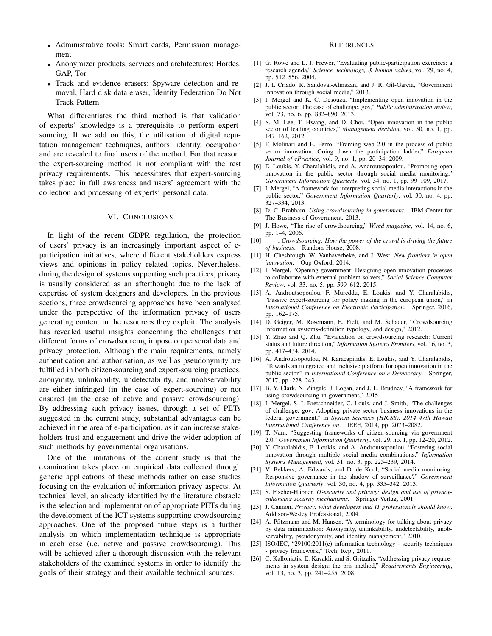- Administrative tools: Smart cards, Permission management
- Anonymizer products, services and architectures: Hordes, GAP, Tor
- Track and evidence erasers: Spyware detection and removal, Hard disk data eraser, Identity Federation Do Not Track Pattern

What differentiates the third method is that validation of experts' knowledge is a prerequisite to perform expertsourcing. If we add on this, the utilisation of digital reputation management techniques, authors' identity, occupation and are revealed to final users of the method. For that reason, the expert-sourcing method is not compliant with the rest privacy requirements. This necessitates that expert-sourcing takes place in full awareness and users' agreement with the collection and processing of experts' personal data.

#### VI. CONCLUSIONS

In light of the recent GDPR regulation, the protection of users' privacy is an increasingly important aspect of eparticipation initiatives, where different stakeholders express views and opinions in policy related topics. Nevertheless, during the design of systems supporting such practices, privacy is usually considered as an afterthought due to the lack of expertise of system designers and developers. In the previous sections, three crowdsourcing approaches have been analysed under the perspective of the information privacy of users generating content in the resources they exploit. The analysis has revealed useful insights concerning the challenges that different forms of crowdsourcing impose on personal data and privacy protection. Although the main requirements, namely authentication and authorisation, as well as pseudonymity are fulfilled in both citizen-sourcing and expert-sourcing practices, anonymity, unlinkability, undetectability, and unobservability are either infringed (in the case of expert-sourcing) or not ensured (in the case of active and passive crowdsourcing). By addressing such privacy issues, through a set of PETs suggested in the current study, substantial advantages can be achieved in the area of e-participation, as it can increase stakeholders trust and engagement and drive the wider adoption of such methods by governmental organisations.

One of the limitations of the current study is that the examination takes place on empirical data collected through generic applications of these methods rather on case studies focusing on the evaluation of information privacy aspects. At technical level, an already identified by the literature obstacle is the selection and implementation of appropriate PETs during the development of the ICT systems supporting crowdsourcing approaches. One of the proposed future steps is a further analysis on which implementation technique is appropriate in each case (i.e. active and passive crowdsourcing). This will be achieved after a thorough discussion with the relevant stakeholders of the examined systems in order to identify the goals of their strategy and their available technical sources.

#### **REFERENCES**

- [1] G. Rowe and L. J. Frewer, "Evaluating public-participation exercises: a research agenda," *Science, technology, & human values*, vol. 29, no. 4, pp. 512–556, 2004.
- [2] J. I. Criado, R. Sandoval-Almazan, and J. R. Gil-Garcia, "Government innovation through social media," 2013.
- [3] I. Mergel and K. C. Desouza, "Implementing open innovation in the public sector: The case of challenge. gov," *Public administration review*, vol. 73, no. 6, pp. 882–890, 2013.
- [4] S. M. Lee, T. Hwang, and D. Choi, "Open innovation in the public sector of leading countries," *Management decision*, vol. 50, no. 1, pp. 147–162, 2012.
- [5] F. Molinari and E. Ferro, "Framing web 2.0 in the process of public sector innovation: Going down the participation ladder," *European Journal of ePractice*, vol. 9, no. 1, pp. 20–34, 2009.
- [6] E. Loukis, Y. Charalabidis, and A. Androutsopoulou, "Promoting open innovation in the public sector through social media monitoring, *Government Information Quarterly*, vol. 34, no. 1, pp. 99–109, 2017.
- [7] I. Mergel, "A framework for interpreting social media interactions in the public sector," *Government Information Quarterly*, vol. 30, no. 4, pp. 327–334, 2013.
- [8] D. C. Brabham, *Using crowdsourcing in government*. IBM Center for The Business of Government, 2013.
- [9] J. Howe, "The rise of crowdsourcing," *Wired magazine*, vol. 14, no. 6, pp. 1–4, 2006.
- [10] ——, *Crowdsourcing: How the power of the crowd is driving the future of business*. Random House, 2008.
- [11] H. Chesbrough, W. Vanhaverbeke, and J. West, *New frontiers in open innovation*. Oup Oxford, 2014.
- [12] I. Mergel, "Opening government: Designing open innovation processes to collaborate with external problem solvers," *Social Science Computer Review*, vol. 33, no. 5, pp. 599–612, 2015.
- [13] A. Androutsopoulou, F. Mureddu, E. Loukis, and Y. Charalabidis, "Passive expert-sourcing for policy making in the european union," in *International Conference on Electronic Participation*. Springer, 2016, pp. 162–175.
- [14] D. Geiger, M. Rosemann, E. Fielt, and M. Schader, "Crowdsourcing information systems-definition typology, and design," 2012.
- [15] Y. Zhao and Q. Zhu, "Evaluation on crowdsourcing research: Current status and future direction," *Information Systems Frontiers*, vol. 16, no. 3, pp. 417–434, 2014.
- [16] A. Androutsopoulou, N. Karacapilidis, E. Loukis, and Y. Charalabidis, "Towards an integrated and inclusive platform for open innovation in the public sector," in *International Conference on e-Democracy*. Springer, 2017, pp. 228–243.
- [17] B. Y. Clark, N. Zingale, J. Logan, and J. L. Brudney, "A framework for using crowdsourcing in government," 2015.
- [18] I. Mergel, S. I. Bretschneider, C. Louis, and J. Smith, "The challenges of challenge. gov: Adopting private sector business innovations in the federal government," in *System Sciences (HICSS), 2014 47th Hawaii International Conference on*. IEEE, 2014, pp. 2073–2082.
- [19] T. Nam, "Suggesting frameworks of citizen-sourcing via government 2.0," *Government Information Quarterly*, vol. 29, no. 1, pp. 12–20, 2012.
- [20] Y. Charalabidis, E. Loukis, and A. Androutsopoulou, "Fostering social innovation through multiple social media combinations," *Information Systems Management*, vol. 31, no. 3, pp. 225–239, 2014.
- [21] V. Bekkers, A. Edwards, and D. de Kool, "Social media monitoring: Responsive governance in the shadow of surveillance?" *Government Information Quarterly*, vol. 30, no. 4, pp. 335–342, 2013.
- [22] S. Fischer-Hübner, *IT-security and privacy: design and use of privacyenhancing security mechanisms*. Springer-Verlag, 2001.
- [23] J. Cannon, *Privacy: what developers and IT professionals should know*. Addison-Wesley Professional, 2004.
- [24] A. Pfitzmann and M. Hansen, "A terminology for talking about privacy by data minimization: Anonymity, unlinkability, undetectability, unobservability, pseudonymity, and identity management," 2010.
- [25] ISO/IEC, "29100:2011(e) information technology security techniques privacy framework," Tech. Rep., 2011.
- [26] C. Kalloniatis, E. Kavakli, and S. Gritzalis, "Addressing privacy requirements in system design: the pris method," *Requirements Engineering*, vol. 13, no. 3, pp. 241–255, 2008.